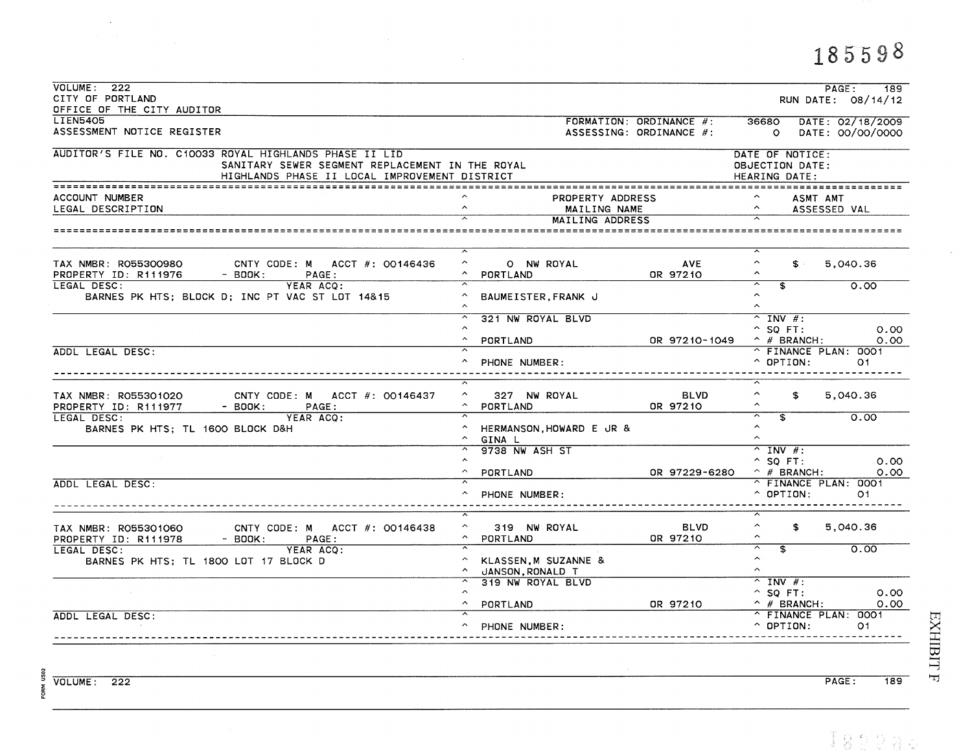## VOLUME: 222  $PAGE:$  $\overline{189}$ CITY OF PORTLAND RUN DATE: 08/14/12 OFFICE OF THE CITY AUDITOR **LIEN5405** FORMATION: ORDINANCE #: 36680 DATE: 02/18/2009 ASSESSMENT NOTICE REGISTER ASSESSING: ORDINANCE #: 0 DATE: 00/00/0000 AUDITOR'S FILE NO. C10033 ROYAL HIGHLANDS PHASE II LID DATE OF NOTICE: SANITARY SEWER SEGMENT REPLACEMENT IN THE ROYAL OBJECTION DATE: HIGHLANDS PHASE II LOCAL IMPROVEMENT DISTRICT **HEARING DATE:** ACCOUNT NUMBER PROPERTY ADDRESS  $\sim$ ASMT AMT  $\sim$  $\lambda$ LEGAL DESCRIPTION MAILING NAME ASSESSED VAL **MAILING ADDRESS**  $\sim$ O NW ROYAL  $\sim$ TAX NMBR: RO55300980 CNTY CODE: M ACCT  $#$ : 00146436 **AVE**  $S =$ 5,040.36 PROPERTY ID: R111976  $-$  BOOK: PAGE:  $\hat{\phantom{a}}$ PORTLAND OR 97210  $\hat{\phantom{a}}$ LEGAL DESC:  $0.00$ YEAR ACQ:  $\overline{\mathbf{f}}$  $\sim$ BARNES PK HTS; BLOCK D; INC PT VAC ST LOT 14&15 ^ BAUMEISTER, FRANK J  $\sim$  $\overline{\widehat{\phantom{a}}}%$ 321 NW ROYAL BLVD  $\overline{\wedge}$  INV #:  $^{\circ}$  SQ FT:  $0.00$  $\hat{ }$ PORTLAND OR 97210-1049  $^{\wedge}$  # BRANCH:  $0.00$ ADDL LEGAL DESC: ^ FINANCE PLAN: 0001  $\boldsymbol{\wedge}$ PHONE NUMBER:  $^{\circ}$  OPTION:  $O<sub>1</sub>$ -------------------------------------------- $\hat{\phantom{a}}$ 5,040.36 TAX NMBR: R055301020 CNTY CODE: M ACCT #: 00146437  $\hat{ }$ 327 NW ROYAL **BLVD** \$  $\sim$ OR 97210  $\sim$ PROPERTY ID: R111977  $-$  BOOK: PAGE: PORTLAND LEGAL DESC: YEAR ACO: ≂  $\overline{\mathbf{f}}$  $0.00$  $\hat{ }$ BARNES PK HTS; TL 1600 BLOCK D&H A HERMANSON.HOWARD E JR &  $\sim$  $^{\wedge}$  GINA L 9738 NW ASH ST  $^{\sim}$  INV #:  $^{\circ}$  SO FT:  $0.00$  $\mathbf{A}$  $\land$  # BRANCH: PORTLAND OR 97229-6280  $0.00$ ADDL LEGAL DESC: ≂ ^ FINANCE PLAN: 0001  $\land$   $\Omega$   $\Gamma$   $\Gamma$  $\Omega$   $\Omega$   $\vdots$ PHONE NUMBER:  $O1$ 319 NW ROYAL  $\hat{\phantom{a}}$ 5,040.36 TAX NMBR: R055301060 CNTY CODE: M ACCT #: 00146438  $\sim$ **BLVD** \$. PROPERTY ID: R111978  $\sim$  $-$  BOOK:  $\sim$ PORTLAND OR 97210 PAGE:  $0.00$ ≂ LEGAL DESC: YEAR ACO:  $\overline{\mathbf{f}}$  $\boldsymbol{\wedge}$ KLASSEN, M SUZANNE & BARNES PK HTS; TL 1800 LOT 17 BLOCK D  $\sim$ JANSON RONALD T  $\overline{\wedge}$  INV #: 319 NW ROYAL BLVD  $\sim$  $^{\circ}$  SQ FT:  $0.00$  $0.00$  $\sim$ OR 97210  $\wedge$  # BRANCH: PORTLAND ADDL LEGAL DESC: ^ FINANCE PLAN: 0001 ^ PHONE NUMBER:  $^{\circ}$  OPTION:  $O<sub>1</sub>$

189

EXHIBIT

 $\overline{\phantom{a}}$ 

VOLUME: 222

 $PAGE:$ 

185598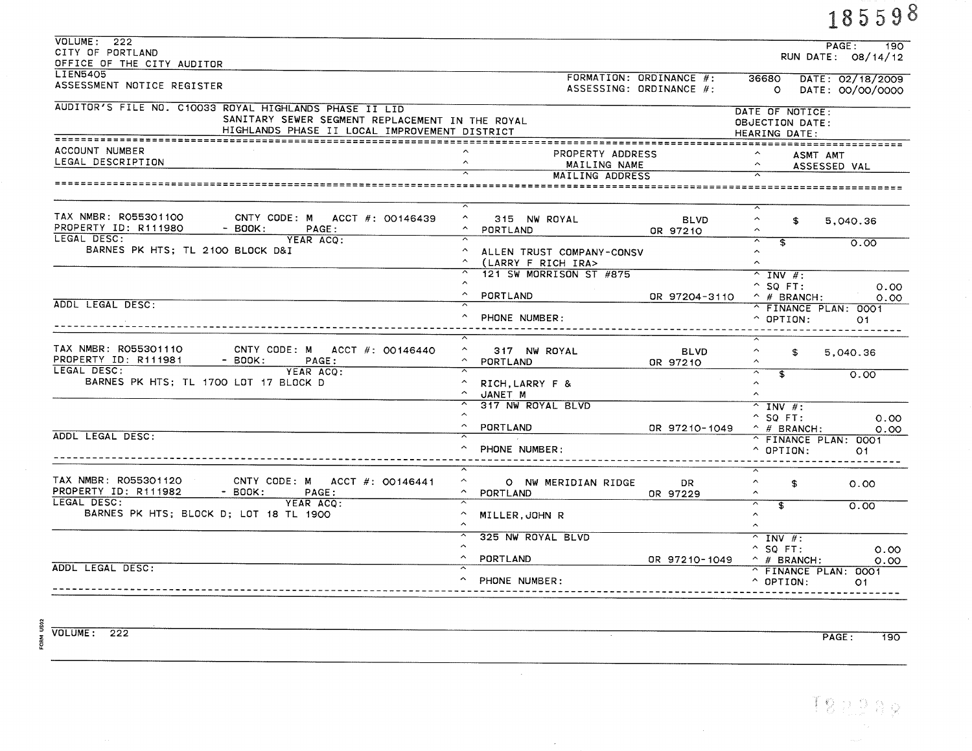|                                                                                                                                                            |                                                     |                                                    |                                                                                                    | 185598                                       |
|------------------------------------------------------------------------------------------------------------------------------------------------------------|-----------------------------------------------------|----------------------------------------------------|----------------------------------------------------------------------------------------------------|----------------------------------------------|
| VOLUME: 222<br>CITY OF PORTLAND<br>OFFICE OF THE CITY AUDITOR                                                                                              |                                                     |                                                    |                                                                                                    | PAGE:<br>190<br>RUN DATE: 08/14/12           |
| <b>LIEN5405</b><br>ASSESSMENT NOTICE REGISTER                                                                                                              |                                                     | FORMATION: ORDINANCE #:<br>ASSESSING: ORDINANCE #: |                                                                                                    | 36680 DATE: 02/18/2009<br>0 DATE: 00/00/0000 |
| AUDITOR'S FILE NO. C10033 ROYAL HIGHLANDS PHASE II LID<br>SANITARY SEWER SEGMENT REPLACEMENT IN THE ROYAL<br>HIGHLANDS PHASE II LOCAL IMPROVEMENT DISTRICT |                                                     |                                                    | DATE OF NOTICE:<br>OBJECTION DATE:<br>HEARING DATE:                                                |                                              |
| ACCOUNT NUMBER<br>LEGAL DESCRIPTION                                                                                                                        | PROPERTY ADDRESS<br>MAILING NAME<br>MAILING ADDRESS |                                                    | ASMT AMT<br>$\hat{\phantom{a}}$                                                                    | ASSESSED VAL                                 |
|                                                                                                                                                            |                                                     |                                                    |                                                                                                    |                                              |
| TAX NMBR: R055301100<br>CNTY CODE: M ACCT #: 00146439<br>PROPERTY ID: R111980<br>- BOOK:<br><b>PAGE:</b>                                                   | $\hat{\phantom{a}}$<br>315 NW ROYAL<br>PORTLAND     | <b>BLVD</b><br>OR 97210                            | $\hat{\phantom{a}}$<br>\$<br>$\sim$                                                                | 5.040.36                                     |
| LEGAL DESC:<br>YEAR ACQ:<br>BARNES PK HTS; TL 2100 BLOCK D&I                                                                                               | ALLEN TRUST COMPANY-CONSV<br>^ (LARRY F RICH IRA>   |                                                    | $\overline{\phantom{1}}$<br>$\overline{\mathbf{f}}$<br>$\hat{ }$<br>$\hat{ }$                      | 0.00                                         |
|                                                                                                                                                            | 121 SW MORRISON ST #875                             |                                                    | $^{\sim}$ INV #:<br>$^{\circ}$ SQ FT:                                                              | 0.00                                         |
| ADDL LEGAL DESC:                                                                                                                                           | ^ PORTLAND<br>PHONE NUMBER:                         | OR 97204-3110                                      | $\hat{p}$ # BRANCH:<br>^ FINANCE PLAN: 0001<br>$^{\circ}$ OPTION:<br>- - - - - - - - - - -         | 0.00<br>O1                                   |
| TAX NMBR: R055301110<br>CNTY CODE: M ACCT $#$ : 00146440<br>PROPERTY ID: R111981<br>$-$ BOOK:<br>PAGE:                                                     | $\sim$<br>317 NW ROYAL<br>PORTLAND                  | <b>BLVD</b><br>OR 97210                            | $\hat{\phantom{a}}$<br>\$<br>$\hat{\phantom{1}}$                                                   | 5,040.36                                     |
| LEGAL DESC:<br>YEAR ACO:<br>BARNES PK HTS; TL 1700 LOT 17 BLOCK D                                                                                          | $\sim$<br>RICH, LARRY F &<br>A JANET M              |                                                    | $\overline{\widehat{\phantom{a}}}%$<br>$\overline{\mathbf{f}}$<br>$\hat{ }$<br>$\hat{\phantom{a}}$ | O.OO                                         |
|                                                                                                                                                            | 317 NW ROYAL BLVD<br>$\sim$<br>PORTLAND             | OR 97210-1049                                      | $\overline{N}$ INV #:<br>$^{\circ}$ SO FT:<br>$^{\wedge}$ # BRANCH:                                | 0.00<br>0.00                                 |
| ADDL LEGAL DESC:                                                                                                                                           | PHONE NUMBER:                                       |                                                    | ^ FINANCE PLAN: 0001<br>$^{\circ}$ OPTION:                                                         | O <sub>1</sub>                               |
| TAX NMBR: R055301120<br>CNTY CODE: M ACCT $#$ : 00146441<br>PROPERTY ID: R111982<br>- BOOK:<br><b>PAGE:</b>                                                | $\sim$<br>O NW MERIDIAN RIDGE<br>$\sim$<br>PORTLAND | DR<br>OR 97229                                     | $\sim$<br>\$<br>$\hat{ }$                                                                          | 0.00                                         |
| LEGAL DESC:<br>YEAR ACO:<br>BARNES PK HTS; BLOCK D; LOT 18 TL 1900                                                                                         | A MILLER, JOHN R                                    |                                                    | $\overline{\phantom{1}}$<br>$\overline{\mathbf{3}}$<br>$\hat{~}$<br>$\widehat{\phantom{a}}$        | 0.00                                         |
|                                                                                                                                                            | 325 NW ROYAL BLVD<br>$\sim$                         |                                                    | $^{\sim}$ INV $\#$ :<br>$^{\circ}$ SO FT:                                                          | 0.00                                         |
| ADDL LEGAL DESC:                                                                                                                                           | PORTLAND<br>PHONE NUMBER:                           | OR 97210-1049                                      | $\hat{ }$ # BRANCH:<br>^ FINANCE PLAN: 0001<br>$^{\circ}$ OPTION:                                  | 0.00<br>O1.                                  |

 $\sim 10^{-1}$ 

 $\sim$ 

 $\frac{8}{2}$ <br>  $\frac{8}{2}$ <br>  $\frac{8}{2}$ <br>  $\frac{8}{2}$ <br>  $\frac{8}{2}$ <br>  $\frac{8}{2}$ <br>  $\frac{8}{2}$ <br>  $\frac{8}{2}$ <br>  $\frac{8}{2}$ <br>  $\frac{8}{2}$ <br>  $\frac{8}{2}$ <br>  $\frac{8}{2}$ 

PAGE:  $\overline{190}$   $\sim$ 

 $18.22.88$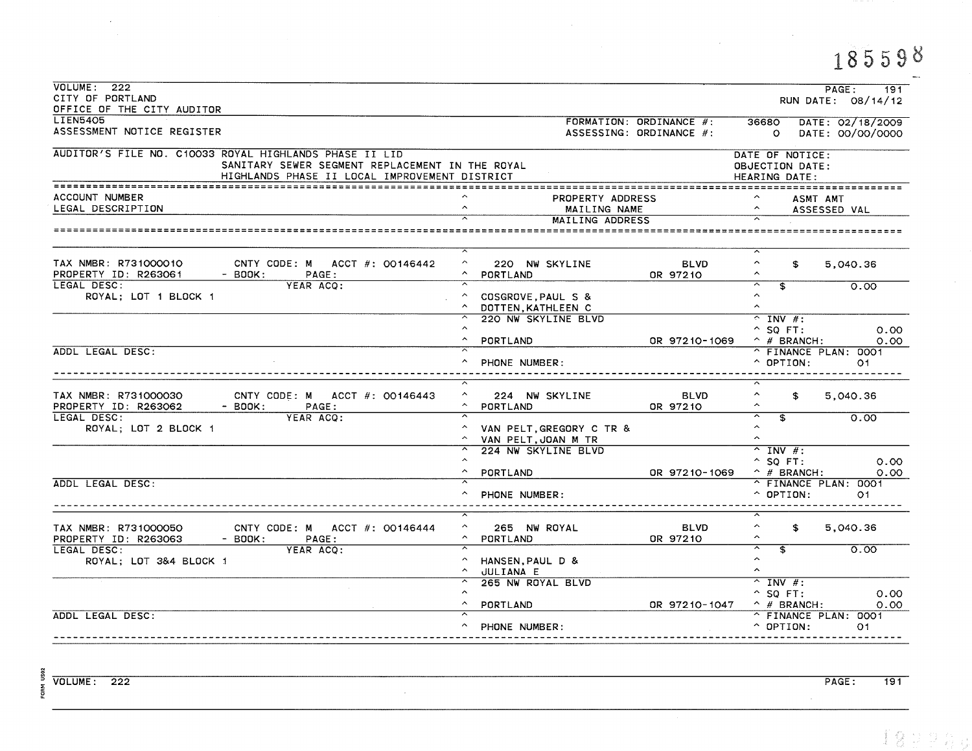## 185598

 $\mathcal{A}^{\mathcal{A}}_{\mathcal{A}}$ 

| VOLUME: 222<br>CITY OF PORTLAND                                                                                                                            | PAGE:<br>191<br>RUN DATE: 08/14/12                                                                                                                                                         |
|------------------------------------------------------------------------------------------------------------------------------------------------------------|--------------------------------------------------------------------------------------------------------------------------------------------------------------------------------------------|
| OFFICE OF THE CITY AUDITOR<br><b>LIEN5405</b>                                                                                                              |                                                                                                                                                                                            |
| ASSESSMENT NOTICE REGISTER                                                                                                                                 | FORMATION: ORDINANCE #:<br>36680 DATE: 02/18/2009<br>ASSESSING: ORDINANCE #:<br>0 DATE: 00/00/0000                                                                                         |
| AUDITOR'S FILE NO. C10033 ROYAL HIGHLANDS PHASE II LID<br>SANITARY SEWER SEGMENT REPLACEMENT IN THE ROYAL<br>HIGHLANDS PHASE II LOCAL IMPROVEMENT DISTRICT | DATE OF NOTICE:<br><b>OBJECTION DATE:</b><br>HEARING DATE:                                                                                                                                 |
|                                                                                                                                                            |                                                                                                                                                                                            |
| ACCOUNT NUMBER<br>LEGAL DESCRIPTION                                                                                                                        | PROPERTY ADDRESS<br>ASMT AMT<br>$\hat{ }$<br>$\hat{\phantom{a}}$<br>MAILING NAME<br>ASSESSED VAL                                                                                           |
|                                                                                                                                                            | MAILING ADDRESS<br>---------------------------                                                                                                                                             |
| TAX NMBR: R731000010<br>CNTY CODE: M ACCT #: 00146442<br>PROPERTY ID: R263061<br>- BOOK:<br>PAGE:                                                          | ≂<br>$\hat{\phantom{a}}$<br><b>BLVD</b><br>$\hat{\phantom{a}}$<br>220 NW SKYLINE<br>S.<br>5,040.36<br>$\hat{\phantom{a}}$<br>A PORTLAND<br>OR 97210                                        |
| LEGAL DESC:<br>YEAR ACQ:<br>ROYAL; LOT 1 BLOCK 1                                                                                                           | ≂<br>$\overline{\phantom{1}}$<br>$\overline{\mathbf{f}}$<br>0.00<br>$\sim$<br>COSGROVE, PAUL S &<br>$\hat{ }$<br>$\sim$<br>DOTTEN, KATHLEEN C                                              |
|                                                                                                                                                            | 220 NW SKYLINE BLVD<br>$\hat{C}$ INV #:<br>$^{\circ}$ SQ FT:<br>0.00<br>$\sim$<br>PORTLAND<br>OR 97210-1069<br>$\hat{ }$ # BRANCH:<br>0.00                                                 |
| ADDL LEGAL DESC:                                                                                                                                           | ^ FINANCE PLAN: 0001<br>$\hat{C}$ OPTION:<br>PHONE NUMBER:<br>O1                                                                                                                           |
| TAX NMBR: R731000030<br>CNTY CODE: M ACCT #: 00146443<br>PROPERTY ID: R263062<br>$-$ BOOK:<br>PAGE:                                                        | $\hat{\phantom{a}}$<br><b>BLVD</b><br>$\hat{\phantom{a}}$<br>5,040.36<br>224 NW SKYLINE<br>S.<br>OR 97210<br>$\hat{ }$<br>PORTLAND<br>$\hat{ }$                                            |
| LEGAL DESC:<br>YEAR ACQ:<br>ROYAL; LOT 2 BLOCK 1                                                                                                           | $\overline{\phantom{1}}$<br>≂<br>$\overline{\mathbf{s}}$<br>0.00<br>$\hat{ }$<br>VAN PELT, GREGORY C TR &<br>$\hat{ }$<br>$\hat{ }$<br>VAN PELT, JOAN M TR                                 |
|                                                                                                                                                            | 224 NW SKYLINE BLVD<br>$^{\sim}$ INV #:<br>$\sim$<br>$^{\circ}$ SQ FT:<br>0.00<br>$\hat{ }$ # BRANCH:<br>$\hat{\phantom{a}}$<br>PORTLAND<br>OR 97210-1069<br>0.00                          |
| ADDL LEGAL DESC:                                                                                                                                           | ^ FINANCE PLAN: 0001<br>$\hat{O}$ OPTION:<br>PHONE NUMBER:<br>O <sub>1</sub>                                                                                                               |
| TAX NMBR: R731000050<br>CNTY CODE: M ACCT #: 00146444<br>PROPERTY ID: R263063<br>$-$ BOOK:<br>PAGE:                                                        | ᅐ<br>$\hat{\phantom{a}}$<br>$\widehat{\phantom{a}}$<br>265 NW ROYAL<br><b>BLVD</b><br>\$<br>5.040.36<br>$\hat{\phantom{a}}$<br>$\hat{\phantom{a}}$<br>PORTLAND<br>OR 97210                 |
| LEGAL DESC:<br>YEAR ACO:<br>ROYAL; LOT 3&4 BLOCK 1                                                                                                         | ≂<br>$\overline{\phantom{1}}$<br>$\overline{\mathbf{f}}$<br>0.00<br>$\hat{ }$<br>$\hat{\phantom{1}}$<br>HANSEN, PAUL D &<br>$\hat{\phantom{a}}$<br>$\hat{\phantom{a}}$<br><b>JULIANA E</b> |
|                                                                                                                                                            | 265 NW ROYAL BLVD<br>$^{\sim}$ INV #:<br>$^{\sim}$ SQ FT:<br>0.00<br>$\hat{f}$ # BRANCH:<br>$\hat{\phantom{a}}$<br>PORTLAND<br>OR 97210-1047<br>0.00                                       |
| ADDL LEGAL DESC:                                                                                                                                           | ^ FINANCE PLAN: 0001<br>$\hat{C}$ OPTION:<br>^ PHONE NUMBER:<br>O1                                                                                                                         |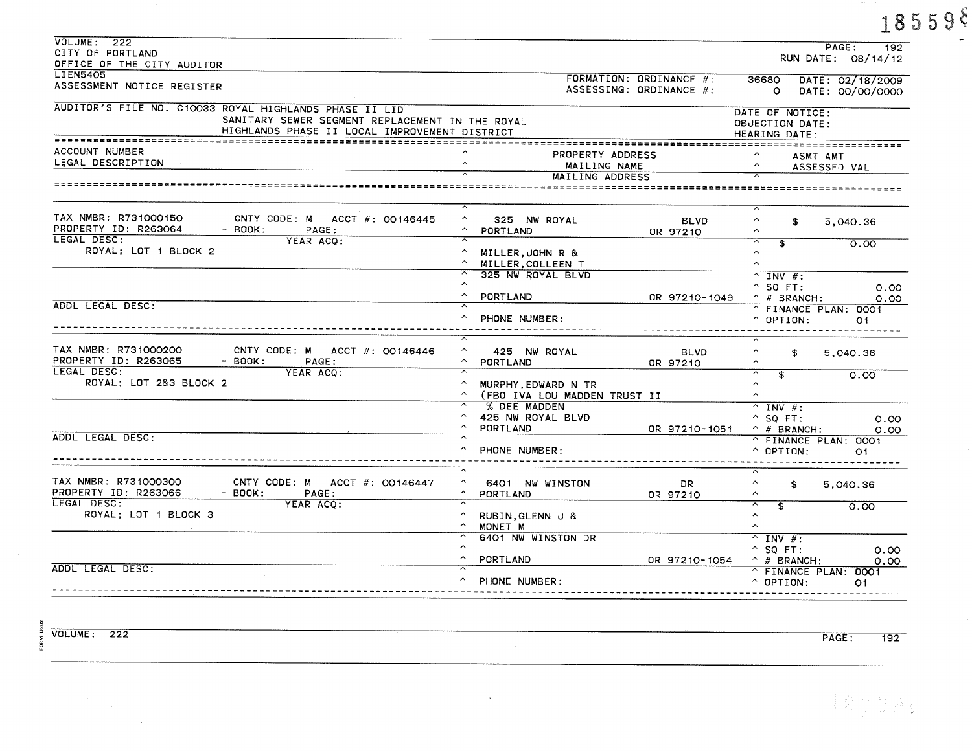|                                                                                                                                                            |                                                                        |                                                     |                         |                                                                                |                                        | $18559$ <sup>§</sup> |
|------------------------------------------------------------------------------------------------------------------------------------------------------------|------------------------------------------------------------------------|-----------------------------------------------------|-------------------------|--------------------------------------------------------------------------------|----------------------------------------|----------------------|
| VOLUTIONE: 222<br>CITY OF PORTLAND<br>OFFICE OF THE CITY AUDITOR                                                                                           |                                                                        |                                                     |                         |                                                                                | PAGE:<br>192<br>RUN DATE: 08/14/12     |                      |
| <b>LIEN5405</b><br>ASSESSMENT NOTICE REGISTER                                                                                                              |                                                                        | FORMATION: ORDINANCE #:<br>ASSESSING: ORDINANCE #:  |                         | 36680<br>$\circ$                                                               | DATE: 02/18/2009<br>DATE: 00/00/0000   |                      |
| AUDITOR'S FILE NO. C10033 ROYAL HIGHLANDS PHASE II LID<br>SANITARY SEWER SEGMENT REPLACEMENT IN THE ROYAL<br>HIGHLANDS PHASE II LOCAL IMPROVEMENT DISTRICT |                                                                        |                                                     |                         | DATE OF NOTICE:<br>OBJECTION DATE:<br>HEARING DATE:                            |                                        |                      |
| ACCOUNT NUMBER<br>LEGAL DESCRIPTION                                                                                                                        | $\hat{\phantom{a}}$                                                    | PROPERTY ADDRESS<br>MAILING NAME<br>MAILING ADDRESS |                         |                                                                                | ASMT AMT<br>ASSESSED VAL               |                      |
|                                                                                                                                                            |                                                                        |                                                     |                         |                                                                                |                                        |                      |
| TAX NMBR: R731000150<br>CNTY CODE: M ACCT #: 00146445<br>PROPERTY ID: R263064<br>$-$ BOOK:<br>PAGE:                                                        | $\hat{\phantom{a}}$<br>325 NW ROYAL<br>$\sim$<br>PORTLAND              |                                                     | <b>BLVD</b><br>OR 97210 | $\hat{\phantom{a}}$<br>\$<br>$\hat{\phantom{a}}$                               | 5,040.36                               |                      |
| LEGAL DESC:<br>YEAR ACQ:<br>ROYAL; LOT 1 BLOCK 2                                                                                                           | $\hat{\phantom{a}}$<br>MILLER, JOHN R &<br>$\sim$<br>MILLER, COLLEEN T |                                                     |                         | $\overline{\phantom{1}}$<br>\$<br>$\hat{\phantom{a}}$<br>$\boldsymbol{\wedge}$ | 0.00                                   |                      |
| ADDL LEGAL DESC:                                                                                                                                           | 325 NW ROYAL BLVD<br>$\sim$<br>PORTLAND                                |                                                     | OR 97210-1049           | $^{\wedge}$ INV #:<br>$^{\circ}$ SQ FT:<br>$\hat{p}$ # BRANCH:                 | 0.00<br>0.00                           |                      |
|                                                                                                                                                            | PHONE NUMBER:                                                          |                                                     |                         | $^{\circ}$ OPTION:                                                             | ^ FINANCE PLAN: 0001<br>O <sub>1</sub> |                      |
| TAX NMBR: R731000200<br>CNTY CODE: M ACCT $#$ : 00146446<br>PROPERTY ID: R263065<br>$-$ BOOK:<br>PAGE:                                                     | $\hat{\phantom{a}}$<br>425 NW ROYAL<br>$\sim$<br>PORTLAND              |                                                     | <b>BLVD</b><br>OR 97210 | $\hat{\phantom{1}}$<br>\$                                                      | 5,040.36                               |                      |
| LEGAL DESC:<br>YEAR ACQ:<br>ROYAL; LOT 2&3 BLOCK 2                                                                                                         | $\overline{\phantom{a}}$<br>$\sim$<br>MURPHY, EDWARD N TR              | (FBO IVA LOU MADDEN TRUST II                        |                         | $\overline{ }$<br>\$<br>$\hat{~}$<br>$\hat{ }$                                 | 0.00                                   |                      |
| ADDL LEGAL DESC:                                                                                                                                           | % DEE MADDEN<br>425 NW ROYAL BLVD<br>$\sim$<br>PORTLAND<br>$\sim$      |                                                     | OR 97210-1051           | $^{\sim}$ INV $\#$ :<br>$^{\circ}$ SQ FT:<br>$\hat{ }$ # BRANCH:               | 0.00<br>0.00                           |                      |
|                                                                                                                                                            | PHONE NUMBER:                                                          |                                                     |                         | $^{\circ}$ OPTION:                                                             | ^ FINANCE PLAN: 0001<br>01             |                      |
| TAX NMBR: R731000300<br>CNTY CODE: M ACCT #: 00146447<br>PROPERTY ID: R263066<br>$-$ BOOK:<br>PAGE:                                                        | $\sim$<br>6401 NW WINSTON<br>$\sim$<br>PORTLAND                        |                                                     | DR.<br>OR 97210         | $\hat{\phantom{a}}$<br>s.<br>$\hat{\phantom{a}}$                               | 5,040.36                               |                      |
| LEGAL DESC:<br>YEAR ACO:<br>ROYAL; LOT 1 BLOCK 3                                                                                                           | ≂<br>$\sim$<br>RUBIN, GLENN J &<br>$\sim$<br>MONET M                   |                                                     |                         | ⊼<br>$\overline{\mathbf{s}}$<br>$\hat{\phantom{a}}$<br>$\hat{\phantom{a}}$     | 0.00                                   |                      |
|                                                                                                                                                            | 6401 NW WINSTON DR<br>$\hat{\phantom{a}}$<br>PORTLAND                  |                                                     | OR 97210-1054           | $\hat{ }$ INV #:<br>$^{\circ}$ SQ FT:<br>$\hat{ }$ # BRANCH:                   | 0.00<br>0.00                           |                      |
| ADDL LEGAL DESC:                                                                                                                                           | PHONE NUMBER:                                                          |                                                     |                         | $^{\circ}$ OPTION:                                                             | ^ FINANCE PLAN: 0001<br>01             |                      |

 $\sim$ 

 $\frac{8}{2}$ <br> $\times$  VOLUME: 222

 $\sim$ 

 $\sim 10$ 

 $\sim 80$ 

 $PAGE:$  $\overline{192}$ 

feppa j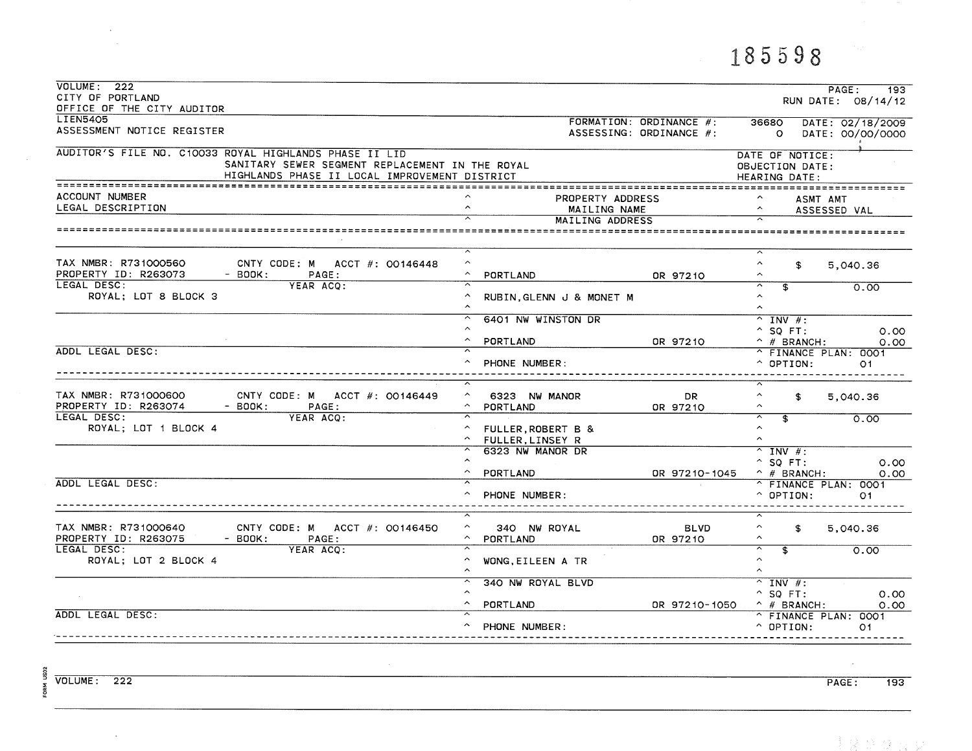## 185598

| VOLUTIONE: 222<br>CITY OF PORTLAND<br>OFFICE OF THE CITY AUDITOR                                                                                           |                                                                                    |                                                    |                                                                                                              | PAGE:<br>193<br>RUN DATE: $08/14/12$ |
|------------------------------------------------------------------------------------------------------------------------------------------------------------|------------------------------------------------------------------------------------|----------------------------------------------------|--------------------------------------------------------------------------------------------------------------|--------------------------------------|
| <b>LIEN5405</b><br>ASSESSMENT NOTICE REGISTER                                                                                                              |                                                                                    | FORMATION: ORDINANCE #:<br>ASSESSING: ORDINANCE #: | 36680<br>$\circ$                                                                                             | DATE: 02/18/2009<br>DATE: 00/00/0000 |
| AUDITOR'S FILE NO. C10033 ROYAL HIGHLANDS PHASE II LID<br>SANITARY SEWER SEGMENT REPLACEMENT IN THE ROYAL<br>HIGHLANDS PHASE II LOCAL IMPROVEMENT DISTRICT |                                                                                    |                                                    | DATE OF NOTICE:<br>OBJECTION DATE:<br>HEARING DATE:                                                          |                                      |
| ACCOUNT NUMBER<br>LEGAL DESCRIPTION                                                                                                                        | PROPERTY ADDRESS<br>$\hat{\phantom{a}}$<br>MAILING NAME<br>MAILING ADDRESS         |                                                    | ASMT AMT<br>$\hat{\phantom{a}}$                                                                              | ASSESSED VAL                         |
|                                                                                                                                                            |                                                                                    |                                                    |                                                                                                              |                                      |
| TAX NMBR: R731000560<br>CNTY CODE: M ACCT $#$ : 00146448<br>PROPERTY ID: R263073<br>$-$ BOOK:<br>PAGE:                                                     | $\overline{\phantom{a}}$<br>$\hat{\phantom{a}}$<br>$\hat{\phantom{a}}$<br>PORTLAND | OR 97210                                           | $\sim$<br>$\hat{\phantom{a}}$<br>\$<br>ㅅ                                                                     | 5,040.36                             |
| LEGAL DESC:<br>YEAR ACQ:<br>ROYAL; LOT 8 BLOCK 3                                                                                                           | RUBIN, GLENN J & MONET M<br>$\hat{\phantom{a}}$                                    |                                                    | $\overline{\widehat{\phantom{c}}}\hspace{0.1cm}$<br>$\overline{\mathbf{s}}$<br>$\sim$<br>$\hat{\phantom{a}}$ | 0.00                                 |
|                                                                                                                                                            | 6401 NW WINSTON DR<br>$\sim$<br>$\sim$<br>PORTLAND                                 | OR 97210                                           | $^{\sim}$ INV #:<br>$^{\circ}$ SQ FT:<br>$^{\wedge}$ # BRANCH:                                               | 0.00<br>0.00                         |
| ADDL LEGAL DESC:                                                                                                                                           | ≂<br>$\sim$<br>PHONE NUMBER:                                                       |                                                    | ^ FINANCE PLAN: 0001<br>$\hat{ }$ OPTION:                                                                    | O <sub>1</sub>                       |
| TAX NMBR: R731000600<br>CNTY CODE: M ACCT $\#$ : 00146449<br>PROPERTY ID: R263074<br>$-$ BOOK:<br>PAGE:<br>LEGAL DESC:<br>YEAR ACQ:                        | $\hat{\phantom{a}}$<br>6323 NW MANOR<br>$\sim$<br>PORTLAND                         | DR.<br>OR 97210                                    | $\hat{\phantom{a}}$<br>\$<br>$\hat{\phantom{1}}$<br>≂<br>$\overline{\mathbf{s}}$                             | 5.040.36<br>0.00                     |
| ROYAL; LOT 1 BLOCK 4                                                                                                                                       | FULLER, ROBERT B &<br>$\hat{\phantom{a}}$<br>FULLER.LINSEY R<br>6323 NW MANOR DR   |                                                    | $\hat{\phantom{a}}$<br>$\hat{\phantom{a}}$<br>$^{\wedge}$ INV #:                                             |                                      |
| ADDL LEGAL DESC:                                                                                                                                           | $\hat{\phantom{a}}$<br>$\hat{\phantom{a}}$<br>PORTLAND                             | OR 97210-1045                                      | $^{\circ}$ SQ FT:<br>$\hat{ }$ # BRANCH:<br>^ FINANCE PLAN: 0001                                             | 0.00<br>0.00                         |
|                                                                                                                                                            | PHONE NUMBER:                                                                      |                                                    | $^{\circ}$ OPTION:                                                                                           | O <sub>1</sub>                       |
| TAX NMBR: R731000640<br>CNTY CODE: M ACCT #: 00146450<br>PROPERTY ID: R263075<br>$-$ BOOK:<br>PAGE:                                                        | ^<br>340 NW ROYAL<br>$\widehat{\phantom{a}}$<br>PORTLAND<br>≂                      | <b>BLVD</b><br>OR 97210                            | ㅈ<br>$\hat{\phantom{a}}$<br>$\mathbf{E}$<br>$\hat{\phantom{a}}$                                              | 5,040.36                             |
| LEGAL DESC:<br>YEAR ACQ:<br>ROYAL; LOT 2 BLOCK 4                                                                                                           | $\hat{\phantom{1}}$<br>WONG, EILEEN A TR<br>$\hat{\phantom{a}}$                    |                                                    | $\overline{ }$<br>$\overline{\mathbf{f}}$<br>$\sim$<br>$\hat{\phantom{a}}$                                   | 0.00                                 |
|                                                                                                                                                            | 340 NW ROYAL BLVD<br>$\hat{\phantom{a}}$<br>$\hat{\phantom{a}}$<br>PORTLAND        | DR 97210-1050                                      | $\overline{N}$ INV #:<br>$^{\circ}$ SQ FT:<br>$\land$ # BRANCH:                                              | 0.00<br>0.00                         |
| ADDL LEGAL DESC:                                                                                                                                           | $\hat{ }$<br>PHONE NUMBER:                                                         |                                                    | ^ FINANCE PLAN: 0001<br>$\hat{ }$ OPTION:                                                                    | 01                                   |

 $\mathcal{L}$ 

FORM US02

 $\sim 10^7$ 

PAGE:  $193$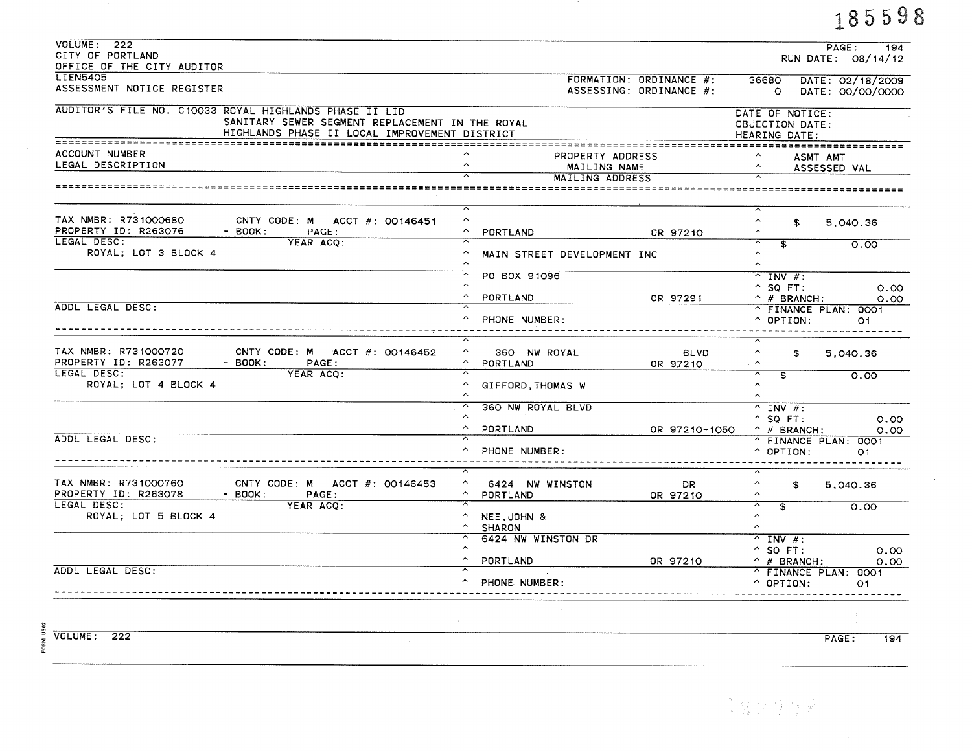|                                                                                                                                                            |                             |                                  | 185598                                                        |
|------------------------------------------------------------------------------------------------------------------------------------------------------------|-----------------------------|----------------------------------|---------------------------------------------------------------|
| VOLUTIONE: 222                                                                                                                                             |                             |                                  | PAGE:<br>194                                                  |
| CITY OF PORTLAND<br>OFFICE OF THE CITY AUDITOR                                                                                                             |                             |                                  | RUN DATE: 08/14/12                                            |
| <b>LIEN5405</b>                                                                                                                                            |                             | FORMATION: ORDINANCE #:          | 36680<br>DATE: 02/18/2009                                     |
| ASSESSMENT NOTICE REGISTER                                                                                                                                 |                             | ASSESSING: ORDINANCE #:          | DATE: 00/00/0000<br>$\circ$                                   |
| AUDITOR'S FILE NO. C10033 ROYAL HIGHLANDS PHASE II LID<br>SANITARY SEWER SEGMENT REPLACEMENT IN THE ROYAL<br>HIGHLANDS PHASE II LOCAL IMPROVEMENT DISTRICT |                             |                                  | DATE OF NOTICE:<br>OBJECTION DATE:<br>HEARING DATE:           |
| ACCOUNT NUMBER                                                                                                                                             |                             |                                  |                                                               |
| LEGAL DESCRIPTION                                                                                                                                          |                             | PROPERTY ADDRESS<br>MAILING NAME | $\hat{\phantom{a}}$<br>ASMT AMT<br>$\sim$                     |
|                                                                                                                                                            |                             | MAILING ADDRESS                  | ASSESSED VAL                                                  |
|                                                                                                                                                            |                             |                                  |                                                               |
| TAX NMBR: R731000680<br>CNTY CODE: M ACCT #: 00146451                                                                                                      | $\hat{\phantom{a}}$         |                                  | $\hat{\phantom{a}}$<br>$\mathbf{r}$<br>5.040.36               |
| PROPERTY ID: R263076<br>- BOOK:<br>PAGE:                                                                                                                   | PORTLAND                    | OR 97210                         | $\hat{ }$                                                     |
| LEGAL DESC:<br>YEAR ACO:                                                                                                                                   |                             |                                  | ᅮ<br>$\overline{\mathbf{f}}$<br>0.00                          |
| ROYAL; LOT 3 BLOCK 4                                                                                                                                       | MAIN STREET DEVELOPMENT INC | $\hat{ }$<br>$\hat{\phantom{a}}$ |                                                               |
|                                                                                                                                                            | PO BOX 91096                |                                  | $^{\sim}$ INV #:                                              |
|                                                                                                                                                            | $\sim$                      |                                  | $^{\circ}$ SO FT:<br>0.00                                     |
| ADDL LEGAL DESC:                                                                                                                                           | PORTLAND                    | OR 97291                         | $\hat{p}$ # BRANCH:<br>0.00                                   |
|                                                                                                                                                            | PHONE NUMBER:               |                                  | ^ FINANCE PLAN: 0001<br>$^{\circ}$ OPTION:<br>O1.             |
| TAX NMBR: R731000720<br>CNTY CODE: M ACCT $#$ : 00146452<br>PROPERTY ID: R263077<br>- $BOOK:$<br>PAGE:                                                     | 360 NW ROYAL<br>PORTLAND    | <b>BLVD</b><br>OR 97210          | $\hat{\phantom{a}}$<br>S.<br>5,040.36<br>$\hat{\phantom{a}}$  |
| LEGAL DESC:<br>YEAR ACO:<br>ROYAL; LOT 4 BLOCK 4                                                                                                           | GIFFORD, THOMAS W           |                                  | Y<br>\$<br>0.00<br>$\hat{\phantom{a}}$<br>$\hat{\phantom{a}}$ |
|                                                                                                                                                            | 360 NW ROYAL BLVD           |                                  | $^{\sim}$ INV #:                                              |
|                                                                                                                                                            | PORTLAND                    | OR 97210-1050                    | $^{\circ}$ SQ FT:<br>0.00<br>$^{\sim}$ # BRANCH:<br>0.00      |
| ADDL LEGAL DESC:                                                                                                                                           |                             |                                  | ^ FINANCE PLAN: 0001                                          |
|                                                                                                                                                            | PHONE NUMBER:               |                                  | $\hat{ }$ OPTION:<br>O <sub>1</sub>                           |
| TAX NMBR: R731000760<br>CNTY CODE: M ACCT $#$ : 00146453                                                                                                   | ^ 6424 NW WINSTON           | <b>DR</b>                        | $\hat{\phantom{a}}$<br>\$<br>5,040.36                         |
| PROPERTY ID: R263078<br>$-$ BOOK:<br>PAGE:                                                                                                                 | ^ PORTLAND                  | OR 97210                         | $\hat{\phantom{a}}$                                           |
| LEGAL DESC:<br>YEAR ACO:<br>ROYAL; LOT 5 BLOCK 4                                                                                                           | $\land$ NEE, JOHN &         |                                  | ≂<br>£.<br>0.00<br>$\hat{\phantom{a}}$                        |
|                                                                                                                                                            | ^ SHARON                    |                                  | $\hat{\phantom{a}}$                                           |
|                                                                                                                                                            | 6424 NW WINSTON DR          |                                  | $^{\sim}$ INV #:                                              |
|                                                                                                                                                            | $\sim$                      |                                  | $^{\circ}$ SQ FT:<br>0.00                                     |
| ADDL LEGAL DESC:                                                                                                                                           | PORTLAND                    | OR 97210                         | $^{\wedge}$ # BRANCH:<br>0.00                                 |
|                                                                                                                                                            | PHONE NUMBER:               |                                  | ^ FINANCE PLAN: 0001<br>$^{\circ}$ OPTION:<br>O <sub>1</sub>  |

 $\frac{8}{2}$ <br>  $\frac{222}{2}$ <br>  $\frac{222}{2}$ 

PAGE:  $\overline{194}$ 

 $\lambda$ 

 $192238$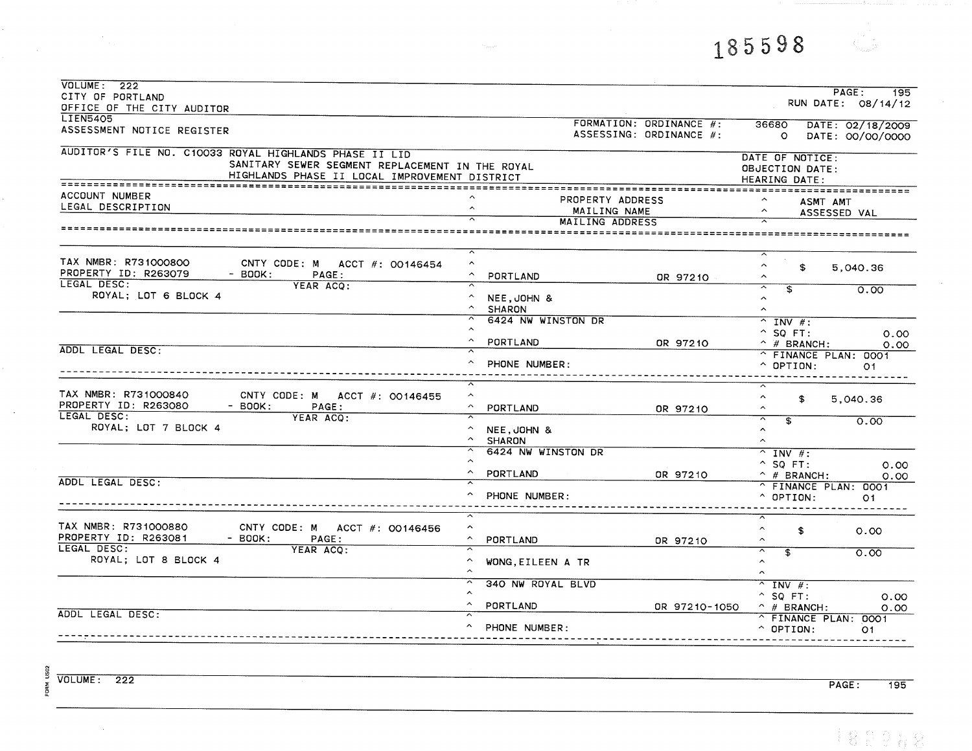185598

| VOLUME: 222                                                            |                                          |                         |                                                                              | PAGE:<br>195                                                  |
|------------------------------------------------------------------------|------------------------------------------|-------------------------|------------------------------------------------------------------------------|---------------------------------------------------------------|
| CITY OF PORTLAND                                                       |                                          |                         |                                                                              | RUN DATE: 08/14/12                                            |
| OFFICE OF THE CITY AUDITOR<br><b>LIEN5405</b>                          |                                          |                         |                                                                              |                                                               |
| ASSESSMENT NOTICE REGISTER                                             |                                          | FORMATION: ORDINANCE #: | 36680                                                                        | DATE: 02/18/2009                                              |
|                                                                        |                                          | ASSESSING: ORDINANCE #: | $\circ$                                                                      | DATE: 00/00/0000                                              |
| AUDITOR'S FILE NO. C10033 ROYAL HIGHLANDS PHASE II LID                 |                                          |                         |                                                                              |                                                               |
| SANITARY SEWER SEGMENT REPLACEMENT IN THE ROYAL                        |                                          |                         | DATE OF NOTICE:<br>OBJECTION DATE:                                           |                                                               |
| HIGHLANDS PHASE II LOCAL IMPROVEMENT DISTRICT                          |                                          |                         | HEARING DATE:                                                                |                                                               |
|                                                                        |                                          |                         |                                                                              |                                                               |
| ACCOUNT NUMBER                                                         | PROPERTY ADDRESS                         |                         | ASMT AMT                                                                     |                                                               |
| LEGAL DESCRIPTION                                                      | $\hat{\phantom{a}}$<br>MAILING NAME      |                         | $\hat{\phantom{a}}$                                                          | ASSESSED VAL                                                  |
|                                                                        | MAILING ADDRESS                          |                         |                                                                              |                                                               |
|                                                                        |                                          |                         |                                                                              |                                                               |
|                                                                        | ≂                                        |                         |                                                                              |                                                               |
| TAX NMBR: R731000800<br>CNTY CODE: M ACCT #: 00146454                  | $\hat{\phantom{a}}$                      |                         | $\hat{\phantom{a}}$<br>\$                                                    | 5,040.36                                                      |
| PROPERTY ID: R263079<br>$-$ BOOK:<br>PAGE:<br>LEGAL DESC:<br>YEAR ACO: | $\hat{\phantom{a}}$<br>PORTLAND          | OR 97210                | $\hat{\phantom{a}}$                                                          |                                                               |
| ROYAL; LOT 6 BLOCK 4                                                   | $\widehat{\phantom{a}}$<br>NEE, JOHN &   |                         | ক<br>$\overline{\phantom{a}}$<br>$\hat{ }$                                   | 0.00                                                          |
|                                                                        | $\widehat{\phantom{m}}$<br><b>SHARON</b> |                         | $\hat{ }$                                                                    |                                                               |
|                                                                        | 6424 NW WINSTON DR                       |                         | $^{\sim}$ INV #:                                                             |                                                               |
|                                                                        | $\widehat{\phantom{a}}$                  |                         | $^{\wedge}$ SQ FT:                                                           | 0.00                                                          |
|                                                                        | $\hat{\phantom{a}}$<br>PORTLAND          | OR 97210                | $^{\wedge}$ # BRANCH:                                                        | 0.00                                                          |
| ADDL LEGAL DESC:                                                       |                                          |                         | ^ FINANCE PLAN: 0001                                                         |                                                               |
|                                                                        | $\hat{\phantom{a}}$<br>PHONE NUMBER:     |                         | $\hat{ }$ OPTION:                                                            | O1                                                            |
|                                                                        | ⊼                                        |                         |                                                                              |                                                               |
| TAX NMBR: R731000840<br>CNTY CODE: M ACCT #: 00146455                  | $\hat{\phantom{a}}$                      |                         | $\hat{\phantom{a}}$                                                          |                                                               |
| PROPERTY ID: R263080<br>$-$ BOOK:<br>PAGE:                             | $\widehat{\phantom{a}}$<br>PORTLAND      | OR 97210                | \$<br>$\sim$                                                                 | 5,040.36                                                      |
| LEGAL DESC:<br>YEAR ACO:                                               |                                          |                         | ⊼<br>$\mathbf{S}$                                                            | 0.00                                                          |
| ROYAL; LOT 7 BLOCK 4                                                   | $\hat{\phantom{a}}$<br>NEE, JOHN &       |                         | $\hat{\phantom{a}}$                                                          |                                                               |
|                                                                        | $\sim$<br><b>SHARON</b>                  |                         | $\hat{ }$                                                                    |                                                               |
|                                                                        | 6424 NW WINSTON DR                       |                         | $^{\sim}$ INV #:                                                             |                                                               |
|                                                                        | $\hat{\phantom{a}}$                      |                         | $^{\circ}$ SQ FT:                                                            | 0.00                                                          |
| ADDL LEGAL DESC:                                                       | PORTLAND                                 | OR 97210                | $^{\wedge}$ # BRANCH:                                                        | 0.00                                                          |
|                                                                        | PHONE NUMBER:                            |                         | ^ FINANCE PLAN: 0001                                                         |                                                               |
|                                                                        |                                          |                         | $^{\circ}$ OPTION:                                                           | O <sub>1</sub>                                                |
|                                                                        |                                          |                         | ⊼                                                                            |                                                               |
| TAX NMBR: R731000880<br>CNTY CODE: M ACCT #: 00146456                  | $\hat{\phantom{a}}$                      |                         | $\widehat{\phantom{a}}$<br>\$                                                | 0.00                                                          |
| PROPERTY ID: R263081<br>$-$ BOOK:<br>PAGE:<br>LEGAL DESC:<br>YEAR ACQ: | $\sim$<br>PORTLAND                       | OR 97210                | $\hat{\phantom{a}}$                                                          |                                                               |
| ROYAL; LOT 8 BLOCK 4                                                   | $\hat{\phantom{a}}$<br>WONG EILEEN A TR  |                         | $\overline{\phantom{1}}$<br>$\overline{\mathfrak{s}}$<br>$\hat{\phantom{a}}$ | $\overline{\overline{\mathrm{o}}\cdot\overline{\mathrm{oo}}}$ |
|                                                                        |                                          |                         | $\hat{ }$                                                                    |                                                               |
|                                                                        | 340 NW ROYAL BLVD                        |                         | $^{\sim}$ INV #:                                                             |                                                               |
|                                                                        |                                          |                         | $^{\circ}$ SQ FT:                                                            | 0.00                                                          |
|                                                                        | PORTLAND                                 | OR 97210-1050           | $^{\wedge}$ # BRANCH:                                                        | 0.00                                                          |
| ADDL LEGAL DESC:                                                       |                                          |                         | ^ FINANCE PLAN: 0001                                                         |                                                               |
|                                                                        | PHONE NUMBER:                            |                         | $^{\circ}$ OPTION:                                                           | O <sub>1</sub>                                                |
|                                                                        |                                          |                         |                                                                              |                                                               |

FORM US02 **VOLUME: 222** 

 $\sim$   $\sim$ 

 $\sim$ 

 $\sim 10^6$ 

PAGE:  $\overline{195}$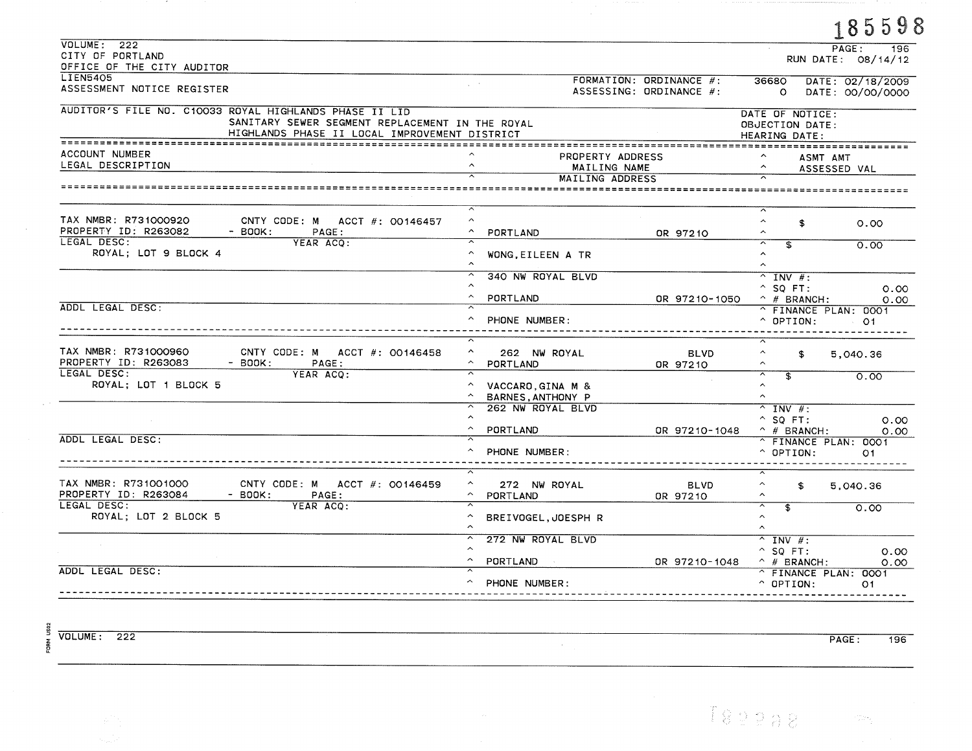|                                                                                                        |                                                                                            |                                                    |                                                 | 185598                               |
|--------------------------------------------------------------------------------------------------------|--------------------------------------------------------------------------------------------|----------------------------------------------------|-------------------------------------------------|--------------------------------------|
| VOLUME: 222                                                                                            |                                                                                            |                                                    |                                                 | PAGE:<br>196                         |
| CITY OF PORTLAND                                                                                       |                                                                                            |                                                    |                                                 | RUN DATE: 08/14/12                   |
| OFFICE OF THE CITY AUDITOR<br><b>LIEN5405</b>                                                          |                                                                                            |                                                    |                                                 |                                      |
| ASSESSMENT NOTICE REGISTER                                                                             |                                                                                            | FORMATION: ORDINANCE #:<br>ASSESSING: ORDINANCE #: | 36680<br>$\Omega$                               | DATE: 02/18/2009<br>DATE: 00/00/0000 |
| AUDITOR'S FILE NO. C10033 ROYAL HIGHLANDS PHASE II LID                                                 |                                                                                            |                                                    | DATE OF NOTICE:                                 |                                      |
| SANITARY SEWER SEGMENT REPLACEMENT IN THE ROYAL<br>HIGHLANDS PHASE II LOCAL IMPROVEMENT DISTRICT       |                                                                                            |                                                    | OBJECTION DATE:<br>HEARING DATE:                |                                      |
| ACCOUNT NUMBER                                                                                         |                                                                                            |                                                    |                                                 |                                      |
| LEGAL DESCRIPTION                                                                                      | PROPERTY ADDRESS<br>$\lambda$                                                              |                                                    | ASMT AMT                                        |                                      |
|                                                                                                        | MAILING NAME<br>MAILING ADDRESS                                                            |                                                    |                                                 | ASSESSED VAL                         |
|                                                                                                        |                                                                                            |                                                    |                                                 |                                      |
| TAX NMBR: R731000920<br>CNTY CODE: M ACCT $#$ : 00146457                                               | $\hat{\phantom{a}}$                                                                        |                                                    | $\hat{\phantom{a}}$<br>\$                       |                                      |
| PROPERTY ID: R263082<br>$-$ BOOK:<br>PAGE:                                                             | PORTLAND                                                                                   | OR 97210                                           | $\sim$                                          | 0.00                                 |
| LEGAL DESC:<br>YEAR ACO:                                                                               |                                                                                            |                                                    | ⊼<br>T                                          | 0.00                                 |
| ROYAL; LOT 9 BLOCK 4                                                                                   | WONG, EILEEN A TR                                                                          |                                                    | $\hat{\phantom{a}}$<br>$\sim$                   |                                      |
|                                                                                                        | $\overline{ }$<br>340 NW ROYAL BLVD                                                        |                                                    | $\overline{\wedge}$ INV #:                      |                                      |
|                                                                                                        | $\hat{\phantom{a}}$                                                                        |                                                    | $^{\circ}$ SO FT:                               | 0.00                                 |
|                                                                                                        | $\widehat{\phantom{a}}$<br>PORTLAND                                                        | OR 97210-1050                                      | $\hat{ }$ # BRANCH:                             | 0.00                                 |
| ADDL LEGAL DESC:                                                                                       | $\overline{\widehat{\phantom{m}}}$<br>PHONE NUMBER:                                        |                                                    | ^ FINANCE PLAN: 0001<br>$^{\circ}$ OPTION:      | O1.                                  |
|                                                                                                        |                                                                                            |                                                    |                                                 |                                      |
| TAX NMBR: R731000960<br>CNTY CODE: M ACCT #: 00146458<br>PROPERTY ID: R263083                          | $\hat{\phantom{a}}$<br>262 NW ROYAL                                                        | <b>BLVD</b>                                        | $\hat{\phantom{a}}$<br>\$                       | 5,040.36                             |
| - BOOK:<br>PAGE:<br>LEGAL DESC:<br>YEAR ACQ:                                                           | $\hat{\phantom{a}}$<br>PORTLAND                                                            | OR 97210                                           | $\hat{\phantom{a}}$<br>$\overline{\phantom{0}}$ |                                      |
| ROYAL; LOT 1 BLOCK 5                                                                                   | $\hat{\phantom{a}}$<br>VACCARO, GINA M &<br>$\hat{\phantom{a}}$<br><b>BARNES ANTHONY P</b> |                                                    | \$<br>$\hat{ }$<br>$\hat{\phantom{a}}$          | 0.00                                 |
|                                                                                                        | $\sim$<br>262 NW ROYAL BLVD                                                                |                                                    | $\hat{ }$ INV #:                                |                                      |
|                                                                                                        |                                                                                            |                                                    | $^{\circ}$ SQ FT:                               | 0.00                                 |
|                                                                                                        | $\hat{\phantom{a}}$<br>PORTLAND                                                            | OR 97210-1048                                      | $^{\smallfrown}$ # BRANCH:                      | 0.00                                 |
| ADDL LEGAL DESC:                                                                                       | ᅐ<br>PHONE NUMBER:                                                                         |                                                    | ^ FINANCE PLAN: 0001<br>$^{\circ}$ OPTION:      | 01                                   |
|                                                                                                        |                                                                                            |                                                    |                                                 |                                      |
| TAX NMBR: R731001000<br>CNTY CODE: M ACCT $#$ : 00146459<br>PROPERTY ID: R263084<br>$-$ BOOK:<br>PAGE: | $\hat{\phantom{a}}$<br>272 NW ROYAL<br>$\hat{\phantom{a}}$<br>PORTLAND                     | <b>BLVD</b><br>OR 97210                            | $\widehat{\phantom{a}}$<br>\$                   | 5,040.36                             |
| LEGAL DESC:<br>YEAR ACO:                                                                               | ⊼                                                                                          |                                                    | ≂<br>$\overline{\mathbf{s}}$                    | 0.00                                 |
| ROYAL; LOT 2 BLOCK 5                                                                                   | $\hat{\phantom{a}}$<br>BREIVOGEL, JOESPH R                                                 |                                                    | $\hat{ }$<br>$\hat{~}$                          |                                      |
|                                                                                                        | $\sim$<br>272 NW ROYAL BLVD                                                                |                                                    | $^{\sim}$ INV #:                                |                                      |
|                                                                                                        |                                                                                            |                                                    | $^{\circ}$ SQ FT:                               | 0.00                                 |
|                                                                                                        | $\hat{\phantom{a}}$<br><b>PORTLAND</b>                                                     | OR 97210-1048                                      | $\hat{ }$ # BRANCH:                             | 0.00                                 |
| ADDL LEGAL DESC:                                                                                       | PHONE NUMBER:                                                                              |                                                    | ^ FINANCE PLAN: 0001<br>$^{\circ}$ OPTION:      | O <sub>1</sub>                       |

 $\Delta \phi$ 

 $\frac{12}{2}$ <br>  $\frac{12}{2}$ <br>  $\frac{12}{2}$ <br>  $\frac{12}{2}$ <br>  $\frac{12}{2}$ <br>  $\frac{12}{2}$ <br>  $\frac{12}{2}$ <br>  $\frac{12}{2}$ <br>  $\frac{12}{2}$ <br>  $\frac{12}{2}$ 

 $\sim 10$ 

 $\varphi$  .

**Contract** 

 $PAGE:$  $\overline{196}$ 

 $T82288 - m$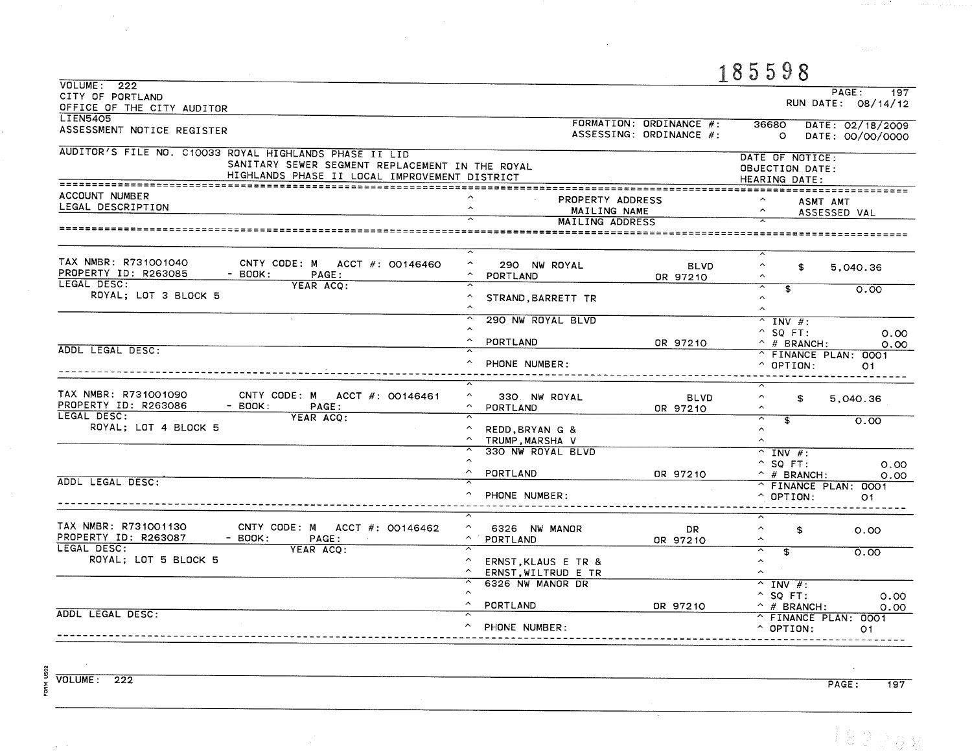|                                                                                                                                                            |                                                                                            |                                                    | 185598                                                                 |                                      |
|------------------------------------------------------------------------------------------------------------------------------------------------------------|--------------------------------------------------------------------------------------------|----------------------------------------------------|------------------------------------------------------------------------|--------------------------------------|
| VOLUME: 222<br>CITY OF PORTLAND<br>OFFICE OF THE CITY AUDITOR                                                                                              |                                                                                            |                                                    |                                                                        | PAGE:<br>197<br>RUN DATE: 08/14/12   |
| <b>LIEN5405</b><br>ASSESSMENT NOTICE REGISTER                                                                                                              |                                                                                            | FORMATION: ORDINANCE #:<br>ASSESSING: ORDINANCE #: | 36680<br>$\circ$                                                       | DATE: 02/18/2009<br>DATE: 00/00/0000 |
| AUDITOR'S FILE NO. C10033 ROYAL HIGHLANDS PHASE II LID<br>SANITARY SEWER SEGMENT REPLACEMENT IN THE ROYAL<br>HIGHLANDS PHASE II LOCAL IMPROVEMENT DISTRICT |                                                                                            |                                                    | DATE OF NOTICE:<br>OBJECTION, DATE:<br>HEARING DATE:                   |                                      |
| ACCOUNT NUMBER<br>LEGAL DESCRIPTION<br>===================================                                                                                 | PROPERTY ADDRESS<br>$\sim$<br>MAILING NAME<br>MAILING ADDRESS<br>========================= |                                                    | ASMT AMT<br>$\hat{\phantom{a}}$                                        | ASSESSED VAL                         |
|                                                                                                                                                            | $\overline{\lambda}$                                                                       |                                                    | $\overline{\phantom{a}}$                                               |                                      |
| TAX NMBR: R731001040<br>CNTY CODE: M ACCT #: 00146460<br>PROPERTY ID: R263085<br>$-$ BOOK:<br>PAGE:                                                        | $\hat{\phantom{a}}$<br>290 NW ROYAL<br>PORTLAND                                            | <b>BLVD</b><br>OR 97210                            | $\widehat{\phantom{a}}$<br>\$<br>$\widehat{\phantom{a}}$               | 5,040.36                             |
| LEGAL DESC:<br>YEAR ACO:<br>ROYAL; LOT 3 BLOCK 5                                                                                                           | STRAND, BARRETT TR                                                                         |                                                    | ⊼<br>$\mathbf{F}$<br>$\hat{\phantom{a}}$<br>$\hat{ }$                  | 0.00                                 |
|                                                                                                                                                            | 290 NW ROYAL BLVD<br>$\hat{\phantom{a}}$                                                   |                                                    | $^{\sim}$ INV #:<br>$^{\circ}$ SQ FT:                                  | 0.00                                 |
| ADDL LEGAL DESC:                                                                                                                                           | PORTLAND<br>PHONE NUMBER:                                                                  | OR 97210                                           | $^{\wedge}$ # BRANCH:<br>^ FINANCE PLAN: 0001<br>$^{\circ}$ OPTION:    | 0.00<br>O1                           |
| TAX NMBR: R731001090<br>CNTY CODE: M ACCT #: 00146461<br>PROPERTY ID: R263086<br>$-$ BOOK:<br>PAGE:                                                        | $\hat{\phantom{a}}$<br>330 NW ROYAL<br>$\sim$<br>PORTLAND                                  | <b>BLVD</b><br>OR 97210                            | $\hat{\phantom{a}}$<br>\$<br>$\hat{ }$                                 | 5,040.36                             |
| LEGAL DESC:<br>YEAR ACO:<br>ROYAL; LOT 4 BLOCK 5                                                                                                           | ≂<br>$\sim$<br>REDD, BRYAN G &<br>$\sim$<br>TRUMP MARSHA V                                 |                                                    | ≂<br>3<br>$\hat{\phantom{a}}$<br>$\sim$                                | 0.00                                 |
|                                                                                                                                                            | 330 NW ROYAL BLVD<br>PORTLAND                                                              | OR 97210                                           | $\overline{\wedge}$ INV #:<br>$^{\circ}$ SQ FT:<br>$\hat{ }$ # BRANCH: | 0.00<br>0.00                         |
| ADDL LEGAL DESC:                                                                                                                                           | PHONE NUMBER:                                                                              |                                                    | ^ FINANCE PLAN: 0001<br>$^{\circ}$ OPTION:                             | O1                                   |
| TAX NMBR: R731001130<br>CNTY CODE: M ACCT $\#$ : 00146462<br>PROPERTY ID: R263087<br>$-$ BOOK:<br>PAGE:<br>LEGAL DESC:                                     | $\sim$<br>6326 NW MANOR<br>$\widehat{\phantom{m}}$<br>PORTLAND                             | DR.<br>OR 97210                                    | ⊼<br>$\hat{\phantom{a}}$<br>\$<br>$\hat{\phantom{a}}$                  | 0.00                                 |
| YEAR ACO:<br>ROYAL; LOT 5 BLOCK 5                                                                                                                          | $\hat{\phantom{a}}$<br>ERNST, KLAUS E TR &<br>$\hat{\phantom{a}}$<br>ERNST, WILTRUD E TR   |                                                    | ⊼<br>$\overline{\mathbf{s}}$<br>$\hat{\phantom{a}}$<br>$\hat{ }$       | 0.00                                 |
| ADDL LEGAL DESC:                                                                                                                                           | 6326 NW MANOR DR<br>$\hat{\phantom{a}}$<br>PORTLAND<br>$\overline{\phantom{a}}$            | OR 97210                                           | $^{\sim}$ INV $\#$ :<br>$^{\circ}$ SQ FT:<br>$^{\wedge}$ # BRANCH:     | 0.00<br>0.00                         |
|                                                                                                                                                            | PHONE NUMBER:                                                                              |                                                    | ^ FINANCE PLAN: 0001<br>$^{\circ}$ OPTION:                             | 01                                   |

 $\chi \to \gamma$ 

 $\sim$ 

 $PAGE:$  $\overline{197}$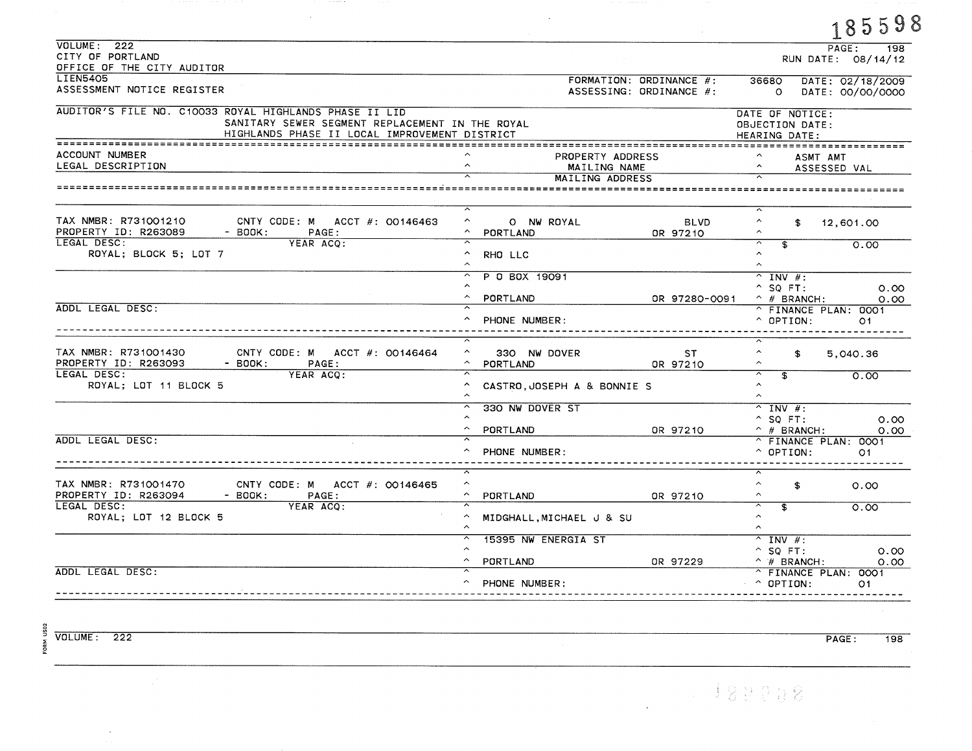|                                                                                                  | FORMATION: ORDINANCE #:<br>ASSESSING: ORDINANCE #:                                                                                                                                                                          | 36680                                                                                                   | 18999<br>PAGE:<br>198<br>RUN DATE: 08/14/12                                                                                                                                                                                     |
|--------------------------------------------------------------------------------------------------|-----------------------------------------------------------------------------------------------------------------------------------------------------------------------------------------------------------------------------|---------------------------------------------------------------------------------------------------------|---------------------------------------------------------------------------------------------------------------------------------------------------------------------------------------------------------------------------------|
|                                                                                                  |                                                                                                                                                                                                                             |                                                                                                         |                                                                                                                                                                                                                                 |
|                                                                                                  |                                                                                                                                                                                                                             | $\circ$                                                                                                 | DATE: 02/18/2009<br>DATE: 00/00/0000                                                                                                                                                                                            |
| SANITARY SEWER SEGMENT REPLACEMENT IN THE ROYAL<br>HIGHLANDS PHASE II LOCAL IMPROVEMENT DISTRICT |                                                                                                                                                                                                                             | DATE OF NOTICE:<br>OBJECTION DATE:<br>HEARING DATE:                                                     |                                                                                                                                                                                                                                 |
|                                                                                                  |                                                                                                                                                                                                                             |                                                                                                         | <b>ASMT AMT</b><br>ASSESSED VAL                                                                                                                                                                                                 |
|                                                                                                  |                                                                                                                                                                                                                             |                                                                                                         |                                                                                                                                                                                                                                 |
|                                                                                                  | <b>BLVD</b><br>OR 97210                                                                                                                                                                                                     | $\boldsymbol{\wedge}$<br>\$<br>$\hat{\phantom{a}}$                                                      | 12,601.00                                                                                                                                                                                                                       |
|                                                                                                  |                                                                                                                                                                                                                             | $\hat{\phantom{a}}$<br>$\sim$                                                                           | 0.00                                                                                                                                                                                                                            |
|                                                                                                  |                                                                                                                                                                                                                             | $^{\wedge}$ INV #:<br>$^{\circ}$ SQ FT:                                                                 | 0.00                                                                                                                                                                                                                            |
|                                                                                                  |                                                                                                                                                                                                                             | $\hat{C}$ OPTION:                                                                                       | 0.00<br>^ FINANCE PLAN: 0001<br>O <sub>1</sub>                                                                                                                                                                                  |
|                                                                                                  | ST.<br>OR 97210                                                                                                                                                                                                             | $\hat{\phantom{a}}$<br>$\mathbf{f}$<br>$\sim$                                                           | 5,040.36                                                                                                                                                                                                                        |
| CASTRO, JOSEPH A & BONNIE S                                                                      |                                                                                                                                                                                                                             |                                                                                                         | 0.00                                                                                                                                                                                                                            |
|                                                                                                  |                                                                                                                                                                                                                             | $\overline{N}$ INV #:<br>$^{\circ}$ SO FT:                                                              | 0.00                                                                                                                                                                                                                            |
|                                                                                                  |                                                                                                                                                                                                                             | $^{\circ}$ OPTION:                                                                                      | 0.00<br>^ FINANCE PLAN: 0001<br>O1                                                                                                                                                                                              |
|                                                                                                  | OR 97210                                                                                                                                                                                                                    | ⊼<br>$\hat{\phantom{a}}$<br>\$<br>$\widehat{\phantom{a}}$                                               | 0.00                                                                                                                                                                                                                            |
|                                                                                                  |                                                                                                                                                                                                                             | $\sim$<br>$\hat{\phantom{a}}$                                                                           | 0.00                                                                                                                                                                                                                            |
|                                                                                                  |                                                                                                                                                                                                                             | $^{\sim}$ INV #:<br>$^{\circ}$ SQ FT:                                                                   | 0.00                                                                                                                                                                                                                            |
|                                                                                                  |                                                                                                                                                                                                                             | $\hat{ }$ OPTION:                                                                                       | 0.00<br>^ FINANCE PLAN: 0001<br>O <sub>1</sub>                                                                                                                                                                                  |
|                                                                                                  | O NW ROYAL<br>PORTLAND<br>RHO LLC<br>P 0 BOX 19091<br>PORTLAND<br>PHONE NUMBER:<br>330 NW DOVER<br>PORTLAND<br>330 NW DOVER ST<br>PORTLAND<br>PHONE NUMBER:<br>PORTLAND<br>15395 NW ENERGIA ST<br>PORTLAND<br>PHONE NUMBER: | PROPERTY ADDRESS<br>MAILING NAME<br>MAILING ADDRESS<br>OR 97210<br>MIDGHALL, MICHAEL J & SU<br>OR 97229 | $\hat{\phantom{a}}$<br>\$<br>OR 97280-0091<br>$\hat{ }$ # BRANCH:<br>ᅐ<br>$\overline{\mathbf{f}}$<br>$\hat{\phantom{a}}$<br>$\hat{\phantom{a}}$<br>$\hat{ }$ # BRANCH:<br>ᅐ<br>$\overline{\mathbf{s}}$<br>$^{\wedge}$ # BRANCH: |

 $\mathcal{L}^{\text{max}}_{\text{max}}$  .

**CALIFORNIA** 

 $\mathcal{L}^{\text{max}}_{\text{max}}$ 

 $\frac{2}{3}$ <br>  $\frac{1}{2}$ <br>  $\frac{1}{6}$ <br>  $\frac{1}{6}$ <br>  $\frac{1}{6}$ <br>  $\frac{1}{6}$ <br>  $\frac{1}{6}$ <br>  $\frac{1}{6}$ <br>  $\frac{1}{6}$ <br>  $\frac{1}{6}$ <br>  $\frac{1}{6}$ <br>  $\frac{1}{6}$ <br>  $\frac{1}{6}$ <br>  $\frac{1}{6}$ <br>  $\frac{1}{6}$ <br>  $\frac{1}{6}$ <br>  $\frac{1}{6}$ <br>  $\frac{1}{6}$ <br>  $\frac{1}{6}$ <br>  $\frac{1}{6}$ <br>

 $\sim$ 

PAGE:  $\overline{198}$ 

 $\mathcal{L}^{\mathcal{L}}$ 

185598